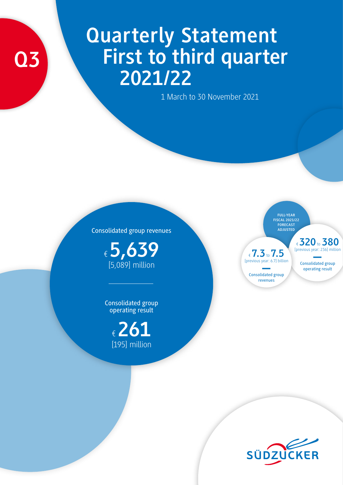# **Q3**

# **Quarterly Statement First to third quarter 2021/22**

1 March to 30 November 2021

Consolidated group revenues

€ **5,639**  [5,089] million

Consolidated group operating result

> € **261** [195] million

**FULL-YEAR FISCAL 2021/22 FORECAST ADJUSTED**

€ **7.3**to **7.5** [previous year: 6.7] billion

Consolidated group – revenues

€ **320**to **380** [previous year: 236] million

Consolidated group operating result

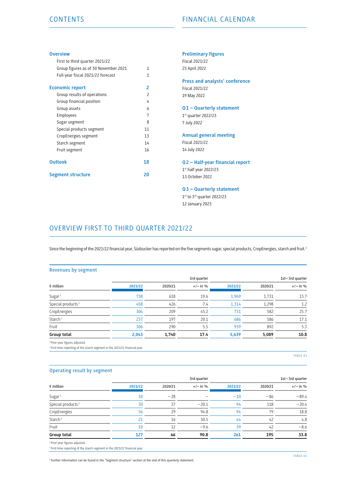#### **Overview**

| First to third quarter 2021/22       |                          |
|--------------------------------------|--------------------------|
| Group figures as of 30 November 2021 | 1                        |
| Full-year fiscal 2021/22 forecast    | 1                        |
| <b>Economic report</b>               | 2                        |
| Group results of operations          | $\overline{\phantom{a}}$ |
| Group financial position             | 4                        |
| Group assets                         | 6                        |
| Employees                            | 7                        |
| Sugar segment                        | 8                        |
| Special products segment             | 11                       |
| CropEnergies segment                 | 13                       |
| Starch segment                       | 14                       |
| Fruit segment                        | 16                       |
| <b>Outlook</b>                       | 18                       |
| <b>Segment structure</b>             | 20                       |

#### **Preliminary figures**

Fiscal 2021/22 25 April 2022

#### **Press and analysts' conference**  Fiscal 2021/22

19 May 2022

#### **Q1 – Quarterly statement**

1st quarter 2022/23 7 July 2022

# **Annual general meeting**

Fiscal 2021/22 14 July 2022

#### **Q2 – Half-year financial report**

1st half year 2022/23 13 October 2022

#### **Q3 – Quarterly statement**

1st to 3rd quarter 2022/23 12 January 2023

# OVERVIEW FIRST TO THIRD QUARTER 2021/22

Since the beginning of the 2021/22 financial year, Südzucker has reported on the five segments sugar, special products, CropEnergies, starch and fruit.<sup>1</sup>

#### Revenues by segment

|         |         | 3rd quarter |         |         | 1st-3rd quarter |
|---------|---------|-------------|---------|---------|-----------------|
| 2021/22 | 2020/21 | $+/-$ in %  | 2021/22 | 2020/21 | $+/-$ in %      |
| 738     | 618     | 19.6        | 1,969   | 1,731   | 13.7            |
| 458     | 426     | 7.4         | 1,314   | 1,298   | 1.2             |
| 304     | 209     | 45.2        | 731     | 582     | 25.7            |
| 237     | 197     | 20.1        | 686     | 586     | 17.1            |
| 306     | 290     | 5.5         | 939     | 892     | 5.3             |
| 2,043   | 1,740   | 17.4        | 5,639   | 5,089   | 10.8            |
|         |         |             |         |         |                 |

1 Prior-year figures adjusted.

<sup>2</sup> First-time reporting of the starch segment in the 2021/22 financial year.

TABLE 01

#### Operating result by segment

|                                              |         |         | 3rd quarter |         |         | 1st-3rd quarter |
|----------------------------------------------|---------|---------|-------------|---------|---------|-----------------|
| $\epsilon$ million                           | 2021/22 | 2020/21 | $+/-$ in %  | 2021/22 | 2020/21 | $+/-$ in %      |
| Sugar <sup>1</sup>                           | 10      | $-28$   |             | $-10$   | $-86$   | $-89.4$         |
| Special products <sup>1</sup>                | 30      | 37      | $-20.1$     | 94      | 118     | $-20.4$         |
| CropEnergies                                 | 56      | 29      | 94.8        | 94      | 79      | 18.8            |
| Starch <sup>2</sup>                          | 21      | 16      | 30.5        | 44      | 42      | 4.8             |
| Fruit                                        | 10      | 12      | $-9.6$      | 39      | 42      | $-8.6$          |
| Group total                                  | 127     | 66      | 90.8        | 261     | 195     | 33.8            |
| The contract the contract of the contract of |         |         |             |         |         |                 |

<sup>1</sup> Prior-year figures adjusted

2 First-time reporting of the starch segment in the 2021/22 financial year.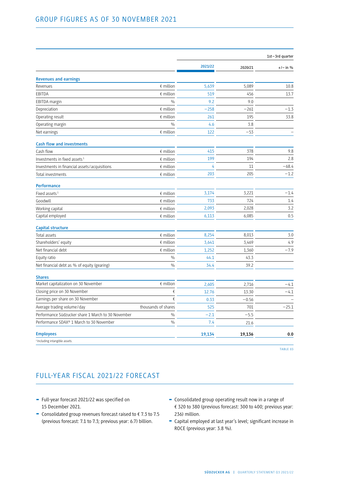|                                                    |                     |         |         | 1st-3rd quarter |
|----------------------------------------------------|---------------------|---------|---------|-----------------|
|                                                    |                     | 2021/22 | 2020/21 | $+/-$ in %      |
| <b>Revenues and earnings</b>                       |                     |         |         |                 |
| Revenues                                           | $\epsilon$ million  | 5,639   | 5,089   | 10.8            |
| EBITDA                                             | $\notin$ million    | 519     | 456     | 13.7            |
| EBITDA margin                                      | $\frac{0}{0}$       | 9.2     | 9.0     |                 |
| Depreciation                                       | $\notin$ million    | $-258$  | $-261$  | $-1.3$          |
| Operating result                                   | $\notin$ million    | 261     | 195     | 33.8            |
| Operating margin                                   | $\frac{0}{0}$       | 4.6     | 3.8     |                 |
| Net earnings                                       | $\notin$ million    | 122     | $-53$   |                 |
| <b>Cash flow and investments</b>                   |                     |         |         |                 |
| Cash flow                                          | $\notin$ million    | 415     | 378     | 9.8             |
| Investments in fixed assets <sup>1</sup>           | $\epsilon$ million  | 199     | 194     | 2.8             |
| Investments in financial assets / acquisitions     | $\epsilon$ million  | 4       | 11      | $-68.4$         |
| Total investments                                  | $\epsilon$ million  | 203     | 205     | $-1.2$          |
| <b>Performance</b>                                 |                     |         |         |                 |
| Fixed assets <sup>1</sup>                          | $$$ million         | 3,174   | 3,221   | $-1.4$          |
| Goodwill                                           | $\notin$ million    | 733     | 724     | 1.4             |
| Working capital                                    | $$$ million         | 2,093   | 2,028   | 3.2             |
| Capital employed                                   | $\notin$ million    | 6,113   | 6,085   | 0.5             |
| <b>Capital structure</b>                           |                     |         |         |                 |
| Total assets                                       | $\epsilon$ million  | 8,254   | 8,013   | 3.0             |
| Shareholders' equity                               | $\notin$ million    | 3,641   | 3,469   | 4.9             |
| Net financial debt                                 | $\epsilon$ million  | 1,252   | 1,360   | $-7.9$          |
| Equity ratio                                       | $\frac{0}{0}$       | 44.1    | 43.3    |                 |
| Net financial debt as % of equity (gearing)        | $\frac{0}{0}$       | 34.4    | 39.2    |                 |
| <b>Shares</b>                                      |                     |         |         |                 |
| Market capitalization on 30 November               | $\epsilon$ million  | 2,605   | 2,716   | $-4.1$          |
| Closing price on 30 November                       | €                   | 12.76   | 13.30   | $-4.1$          |
| Earnings per share on 30 November                  | €                   | 0.33    | $-0.56$ |                 |
| Average trading volume / day                       | thousands of shares | 525     | 701     | $-25.1$         |
| Performance Südzucker share 1 March to 30 November | $\frac{0}{0}$       | $-2.1$  | $-5.5$  |                 |
| Performance SDAX® 1 March to 30 November           | $\frac{0}{0}$       | 7.4     | 21.6    |                 |
| <b>Employees</b>                                   |                     | 19,134  | 19,136  | 0.0             |
| <sup>1</sup> Including intangible assets.          |                     |         |         |                 |

TABLE 03

# FULL-YEAR FISCAL 2021/22 FORECAST

- Full-year forecast 2021/22 was specified on 15 December 2021.
- Consolidated group revenues forecast raised to  $\epsilon$  7.3 to 7.5 (previous forecast: 7.1 to 7.3; previous year: 6.7) billion.
- Consolidated group operating result now in a range of € 320 to 380 (previous forecast: 300 to 400; previous year: 236) million.
- Capital employed at last year's level; significant increase in ROCE (previous year: 3.8 %).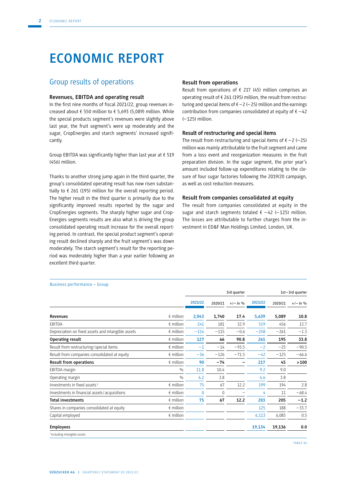# **ECONOMIC REPORT**

## Group results of operations

#### **Revenues, EBITDA and operating result**

In the first nine months of fiscal 2021/22, group revenues increased about € 550 million to € 5,693 (5,089) million. While the special products segment's revenues were slightly above last year, the fruit segment's were up moderately and the sugar, CropEnergies and starch segments' increased significantly.

Group EBITDA was significantly higher than last year at  $\epsilon$  519 (456) million.

Thanks to another strong jump again in the third quarter, the group's consolidated operating result has now risen substantially to  $\epsilon$  261 (195) million for the overall reporting period. The higher result in the third quarter is primarily due to the significantly improved results reported by the sugar and CropEnergies segments. The sharply higher sugar and Crop-Energies segments results are also what is driving the group consolidated operating result increase for the overall reporting period. In contrast, the special product segment's operating result declined sharply and the fruit segment's was down moderately. The starch segment's result for the reporting period was moderately higher than a year earlier following an excellent third quarter.

#### **Result from operations**

Result from operations of  $\epsilon$  217 (45) million comprises an operating result of € 261 (195) million, the result from restructuring and special items of  $\epsilon$  – 2 (–25) million and the earnings contribution from companies consolidated at equity of  $\epsilon$  -42 (–125) million.

#### **Result of restructuring and special items**

The result from restructuring and special items of  $\epsilon$  –2 (–25) million was mainly attributable to the fruit segment and came from a loss event and reorganization measures in the fruit preparation division. In the sugar segment, the prior year's amount included follow-up expenditures relating to the closure of four sugar factories following the 2019/20 campaign, as well as cost reduction measures.

#### **Result from companies consolidated at equity**

The result from companies consolidated at equity in the sugar and starch segments totaled  $\epsilon$  -42 (-125) million. The losses are attributable to further charges from the investment in ED&F Man Holdings Limited, London, UK.

|                                                    |                    | 3rd quarter  |         |            |         |         | 1st-3rd quarter |
|----------------------------------------------------|--------------------|--------------|---------|------------|---------|---------|-----------------|
|                                                    |                    | 2021/22      | 2020/21 | $+/-$ in % | 2021/22 | 2020/21 | $+/-$ in %      |
| Revenues                                           | $\epsilon$ million | 2,043        | 1,740   | 17.4       | 5,639   | 5,089   | 10.8            |
| <b>FBITDA</b>                                      | $\epsilon$ million | 241          | 181     | 32.9       | 519     | 456     | 13.7            |
| Depreciation on fixed assets and intangible assets | $\epsilon$ million | $-114$       | $-115$  | $-0.6$     | $-258$  | $-261$  | $-1.3$          |
| Operating result                                   | $\epsilon$ million | 127          | 66      | 90.8       | 261     | 195     | 33.8            |
| Result from restructuring / special items          | $\n  inillion\n$   | $-1$         | $-14$   | $-93.5$    | $-2$    | $-25$   | $-90.5$         |
| Result from companies consolidated at equity       | $\epsilon$ million | $-36$        | $-126$  | $-71.5$    | $-42$   | $-125$  | $-66.6$         |
| <b>Result from operations</b>                      | $\n  emillion\n$   | 90           | $-74$   | -          | 217     | 45      | >100            |
| EBITDA margin                                      | $\frac{0}{0}$      | 11.8         | 10.4    |            | 9.2     | 9.0     |                 |
| Operating margin                                   | $\frac{0}{0}$      | 6.2          | 3.8     |            | 4.6     | 3.8     |                 |
| Investments in fixed assets <sup>1</sup>           | $\n  inillion\n$   | 75           | 67      | 12.2       | 199     | 194     | 2.8             |
| Investments in financial assets/acquisitions       | $f$ million        | $\mathbf{0}$ | 0       |            | 4       | 11      | $-68.4$         |
| <b>Total investments</b>                           | $\epsilon$ million | 75           | 67      | 12.2       | 203     | 205     | $-1.2$          |
| Shares in companies consolidated at equity         | $\epsilon$ million |              |         |            | 125     | 188     | $-33.7$         |
| Capital employed                                   | $\epsilon$ million |              |         |            | 6,113   | 6,085   | 0.5             |
| <b>Employees</b>                                   |                    |              |         |            | 19,134  | 19,136  | 0.0             |
| <sup>1</sup> Including intangible assets.          |                    |              |         |            |         |         |                 |

#### Business performance – Group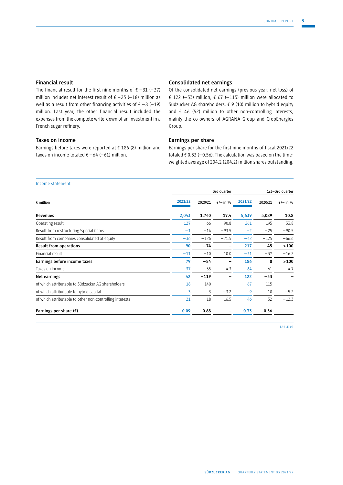#### **Financial result**

The financial result for the first nine months of  $\epsilon$  -31 (-37) million includes net interest result of € – 23 (– 18) million as well as a result from other financing activities of  $\epsilon - 8$  (-19) million. Last year, the other financial result included the expenses from the complete write-down of an investment in a French sugar refinery.

#### **Taxes on income**

Earnings before taxes were reported at € 186 (8) million and taxes on income totaled  $\epsilon$  –64 (–61) million.

#### **Consolidated net earnings**

Of the consolidated net earnings (previous year: net loss) of € 122 (-53) million,  $€ 67$  (-115) million were allocated to Südzucker AG shareholders,  $\epsilon$  9 (10) million to hybrid equity and € 46 (52) million to other non-controlling interests, mainly the co-owners of AGRANA Group and CropEnergies Group.

#### **Earnings per share**

Earnings per share for the first nine months of fiscal 2021/22 totaled  $\epsilon$  0.33 (-0.56). The calculation was based on the timeweighted average of 204.2 (204.2) million shares outstanding.

#### Income statement

| 2021/22<br>2,043<br>127 | 2020/21<br>1,740 | $+/-$ in % | 2021/22 | 2020/21 | $+/-$ in %      |
|-------------------------|------------------|------------|---------|---------|-----------------|
|                         |                  |            |         |         |                 |
|                         |                  | 17.4       | 5,639   | 5,089   | 10.8            |
|                         | 66               | 90.8       | 261     | 195     | 33.8            |
| $-1$                    | $-14$            | $-93.5$    | $-2$    | $-25$   | $-90.5$         |
| $-36$                   | $-126$           | $-71.5$    | $-42$   | $-125$  | $-66.6$         |
| 90                      | $-74$            | -          | 217     | 45      | >100            |
| $-11$                   | $-10$            | 10.0       | $-31$   | $-37$   | $-16.2$         |
| 79                      | $-84$            |            | 186     | 8       | >100            |
| $-37$                   | $-35$            | 4.3        | $-64$   | $-61$   | 4.7             |
| 42                      | $-119$           |            | 122     | $-53$   | -               |
| 18                      | $-140$           |            | 67      | $-115$  |                 |
| 3                       | 3                | $-3.2$     | 9       | 10      | $-5.2$          |
| 21                      | 18               | 16.5       | 46      | 52      | $-12.3$         |
| 0.09                    | $-0.68$          |            |         |         |                 |
|                         |                  |            |         |         | 0.33<br>$-0.56$ |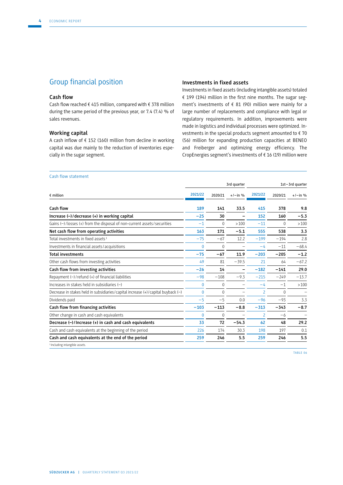# Group financial position

#### **Cash flow**

Cash flow reached € 415 million, compared with € 378 million during the same period of the previous year, or 7.4 (7.4) % of sales revenues.

#### **Working capital**

A cash inflow of  $f$  152 (160) million from decline in working capital was due mainly to the reduction of inventories especially in the sugar segment.

#### **Investments in fixed assets**

Investments in fixed assets (including intangible assets) totaled € 199 (194) million in the first nine months. The sugar segment's investments of  $\epsilon$  81 (90) million were mainly for a large number of replacements and compliance with legal or regulatory requirements. In addition, improvements were made in logistics and individual processes were optimized. Investments in the special products segment amounted to  $\epsilon$  70 (56) million for expanding production capacities at BENEO and Freiberger and optimizing energy efficiency. The CropEnergies segment's investments of € 16 (19) million were

#### Cash flow statement

|                                                                                          |              | 3rd quarter  |                          |                | 1st-3rd quarter |            |  |  |
|------------------------------------------------------------------------------------------|--------------|--------------|--------------------------|----------------|-----------------|------------|--|--|
| $\epsilon$ million                                                                       | 2021/22      | 2020/21      | $+/-$ in %               | 2021/22        | 2020/21         | $+/-$ in % |  |  |
| Cash flow                                                                                | 189          | 141          | 33.5                     | 415            | 378             | 9.8        |  |  |
| Increase $(-)$ / decrease $(+)$ in working capital                                       | $-25$        | 30           | -                        | 152            | 160             | $-5.3$     |  |  |
| Gains $(-)$ / losses $(+)$ from the disposal of non-current assets / securities          | $-1$         | $\mathbf{0}$ | >100                     | $-11$          | 0               | >100       |  |  |
| Net cash flow from operating activities                                                  | 163          | 171          | $-5.1$                   | 555            | 538             | 3.3        |  |  |
| Total investments in fixed assets <sup>1</sup>                                           | $-75$        | $-67$        | 12.2                     | $-199$         | $-194$          | 2.8        |  |  |
| Investments in financial assets / acquisitions                                           | $\theta$     | $\Omega$     |                          | $-4$           | $-11$           | $-68.4$    |  |  |
| <b>Total investments</b>                                                                 | $-75$        | $-67$        | 11.9                     | $-203$         | $-205$          | $-1.2$     |  |  |
| Other cash flows from investing activities                                               | 49           | 81           | $-39.5$                  | 21             | 64              | $-67.2$    |  |  |
| Cash flow from investing activities                                                      | $-26$        | 14           | -                        | $-182$         | $-141$          | 29.0       |  |  |
| Repayment $(-)$ / refund $(+)$ of financial liabilities                                  | $-98$        | $-108$       | $-9.3$                   | $-215$         | $-249$          | $-13.7$    |  |  |
| Increases in stakes held in subsidiaries $(-)$                                           | $\mathbf{0}$ | $\mathbf{0}$ | $\overline{\phantom{m}}$ | $-4$           | $-1$            | >100       |  |  |
| Decrease in stakes held in subsidiaries / capital increase $(+)$ / capital buyback $(-)$ | $\theta$     | $\Omega$     | $\overline{\phantom{m}}$ | $\overline{2}$ | $\mathbf 0$     |            |  |  |
| Dividends paid                                                                           | $-5$         | $-5$         | 0.0                      | $-96$          | $-93$           | 3.3        |  |  |
| Cash flow from financing activities                                                      | $-103$       | $-113$       | $-8.8$                   | $-313$         | $-343$          | $-8.7$     |  |  |
| Other change in cash and cash equivalents                                                | 0            | 0            | -                        | $\overline{2}$ | $-6$            |            |  |  |
| Decrease (-)/Increase (+) in cash and cash equivalents                                   | 33           | 72           | $-54.3$                  | 62             | 48              | 29.2       |  |  |
| Cash and cash equivalents at the beginning of the period                                 | 226          | 174          | 30.3                     | 198            | 197             | 0.1        |  |  |
| Cash and cash equivalents at the end of the period                                       | 259          | 246          | 5.5                      | 259            | 246             | 5.5        |  |  |
| <sup>1</sup> Including intangible assets.                                                |              |              |                          |                |                 |            |  |  |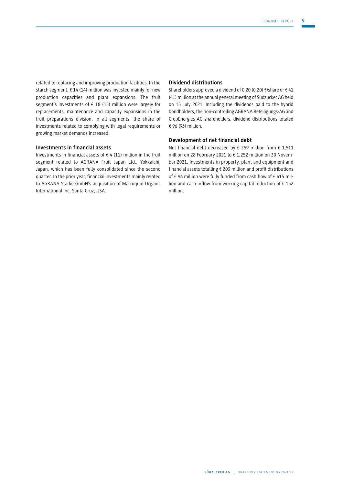related to replacing and improving production facilities. In the starch segment,  $f(14)$  million was invested mainly for new production capacities and plant expansions. The fruit segment's investments of € 18 (15) million were largely for replacements, maintenance and capacity expansions in the fruit preparations division. In all segments, the share of investments related to complying with legal requirements or growing market demands increased.

#### **Investments in financial assets**

Investments in financial assets of  $\epsilon$  4 (11) million in the fruit segment related to AGRANA Fruit Japan Ltd., Yokkaichi, Japan, which has been fully consolidated since the second quarter. In the prior year, financial investments mainly related to AGRANA Stärke GmbH's acquisition of Marroquin Organic International Inc, Santa Cruz, USA.

#### **Dividend distributions**

Shareholders approved a dividend of 0.20 (0.20)  $\epsilon$ /share or  $\epsilon$  41 (41) million at the annual general meeting of Südzucker AG held on 15 July 2021. Including the dividends paid to the hybrid bondholders, the non-controlling AGRANA Beteiligungs-AG and CropEnergies AG shareholders, dividend distributions totaled € 96 (93) million.

#### **Development of net financial debt**

Net financial debt decreased by € 259 million from € 1,511 million on 28 February 2021 to € 1,252 million on 30 November 2021. Investments in property, plant and equipment and financial assets totalling  $\epsilon$  203 million and profit distributions of € 96 million were fully funded from cash flow of € 415 million and cash inflow from working capital reduction of  $f$  152 million.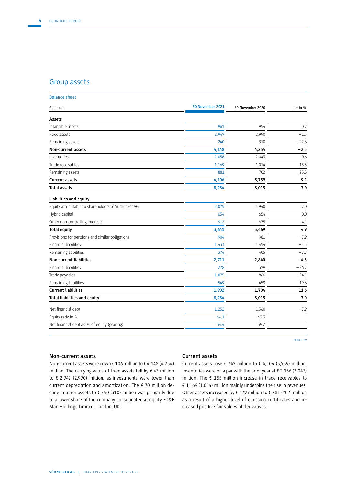## Group assets

| <b>Balance sheet</b>                                |                  |                  |            |
|-----------------------------------------------------|------------------|------------------|------------|
| $\epsilon$ million                                  | 30 November 2021 | 30 November 2020 | $+/-$ in % |
| Assets                                              |                  |                  |            |
| Intangible assets                                   | 961              | 954              | 0.7        |
| Fixed assets                                        | 2,947            | 2,990            | $-1.5$     |
| Remaining assets                                    | 240              | 310              | $-22.6$    |
| Non-current assets                                  | 4,148            | 4,254            | $-2.5$     |
| Inventories                                         | 2,056            | 2,043            | 0.6        |
| Trade receivables                                   | 1,169            | 1,014            | 15.3       |
| Remaining assets                                    | 881              | 702              | 25.5       |
| <b>Current assets</b>                               | 4,106            | 3,759            | 9.2        |
| <b>Total assets</b>                                 | 8,254            | 8,013            | 3.0        |
| Liabilities and equity                              |                  |                  |            |
| Equity attributable to shareholders of Südzucker AG | 2,075            | 1,940            | 7.0        |
| Hybrid capital                                      | 654              | 654              | 0.0        |
| Other non-controlling interests                     | 912              | 875              | 4.1        |
| <b>Total equity</b>                                 | 3,641            | 3,469            | 4.9        |
| Provisions for pensions and similar obligations     | 904              | 981              | $-7.9$     |
| <b>Financial liabilities</b>                        | 1,433            | 1,454            | $-1.5$     |
| Remaining liabilities                               | 374              | 405              | $-7.7$     |
| <b>Non-current liabilities</b>                      | 2,711            | 2,840            | $-4.5$     |
| <b>Financial liabilities</b>                        | 278              | 379              | $-26.7$    |
| Trade payables                                      | 1,075            | 866              | 24.1       |
| Remaining liabilities                               | 549              | 459              | 19.6       |
| <b>Current liabilities</b>                          | 1,902            | 1,704            | 11.6       |
| Total liabilities and equity                        | 8,254            | 8,013            | 3.0        |
| Net financial debt                                  | 1,252            | 1,360            | $-7.9$     |
| Equity ratio in %                                   | 44.1             | 43.3             |            |
| Net financial debt as % of equity (gearing)         | 34.4             | 39.2             |            |

TABLE 07

#### **Non-current assets**

Non-current assets were down € 106 million to € 4,148 (4,254) million. The carrying value of fixed assets fell by € 43 million to € 2,947 (2,990) million, as investments were lower than current depreciation and amortization. The  $\epsilon$  70 million decline in other assets to  $\epsilon$  240 (310) million was primarily due to a lower share of the company consolidated at equity ED&F Man Holdings Limited, London, UK.

#### **Current assets**

Current assets rose  $\xi$  347 million to  $\xi$  4,106 (3,759) million. Inventories were on a par with the prior year at € 2,056 (2,043) million. The € 155 million increase in trade receivables to € 1,169 (1,014) million mainly underpins the rise in revenues. Other assets increased by  $\epsilon$  179 million to  $\epsilon$  881 (702) million as a result of a higher level of emission certificates and increased positive fair values of derivatives.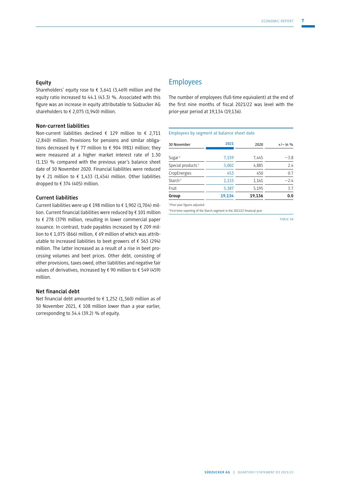#### **Equity**

Shareholders' equity rose to  $\epsilon$  3,641 (3,469) million and the equity ratio increased to 44.1 (43.3) %. Associated with this figure was an increase in equity attributable to Südzucker AG shareholders to € 2,075 (1,940) million.

#### **Non-current liabilities**

Non-current liabilities declined € 129 million to € 2,711 (2,840) million. Provisions for pensions and similar obligations decreased by  $\xi$  77 million to  $\xi$  904 (981) million; they were measured at a higher market interest rate of 1.30 (1.15) % compared with the previous year's balance sheet date of 30 November 2020. Financial liabilities were reduced by  $\epsilon$  21 million to  $\epsilon$  1,433 (1,454) million. Other liabilities dropped to € 374 (405) million.

#### **Current liabilities**

Current liabilities were up € 198 million to € 1,902 (1,704) million. Current financial liabilities were reduced by € 101 million to € 278 (379) million, resulting in lower commercial paper issuance. In contrast, trade payables increased by  $\epsilon$  209 million to € 1,075 (866) million, € 69 million of which was attributable to increased liabilities to beet growers of € 363 (294) million. The latter increased as a result of a rise in beet processing volumes and beet prices. Other debt, consisting of other provisions, taxes owed, other liabilities and negative fair values of derivatives, increased by € 90 million to € 549 (459) million.

#### **Net financial debt**

Net financial debt amounted to  $\epsilon$  1,252 (1,360) million as of 30 November 2021, € 108 million lower than a year earlier, corresponding to 34.4 (39.2) % of equity.

## Employees

The number of employees (full-time equivalent) at the end of the first nine months of fiscal 2021/22 was level with the prior-year period at 19,134 (19,136).

#### Employees by segment at balance sheet date

| 30 November                   | 2021   | 2020   | $+/-$ in % |
|-------------------------------|--------|--------|------------|
| Sugar <sup>1</sup>            | 7,159  | 7,445  | $-3.8$     |
| Special products <sup>1</sup> | 5,002  | 4,885  | 7.4        |
| CropEnergies                  | 453    | 450    | 0.7        |
| Starch <sup>2</sup>           | 1,133  | 1,161  | $-2.4$     |
| Fruit                         | 5,387  | 5,195  | 3.7        |
| Group                         | 19,134 | 19,136 | 0.0        |

<sup>1</sup> Prior-year figures adjusted.

2 First-time reporting of the Starch segment in the 2021/22 financial year.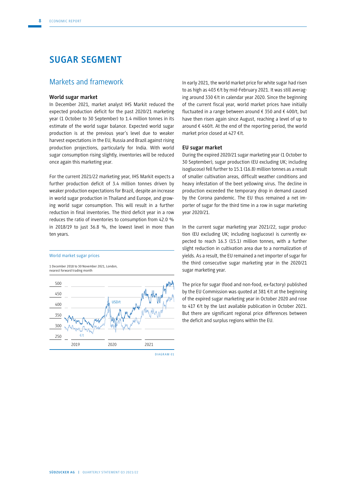# **SUGAR SEGMENT**

## Markets and framework

#### **World sugar market**

In December 2021, market analyst IHS Markit reduced the expected production deficit for the past 2020/21 marketing year (1 October to 30 September) to 1.4 million tonnes in its estimate of the world sugar balance. Expected world sugar production is at the previous year's level due to weaker harvest expectations in the EU, Russia and Brazil against rising production projections, particularly for India. With world sugar consumption rising slightly, inventories will be reduced once again this marketing year.

For the current 2021/22 marketing year, IHS Markit expects a further production deficit of 3.4 million tonnes driven by weaker production expectations for Brazil, despite an increase in world sugar production in Thailand and Europe, and growing world sugar consumption. This will result in a further reduction in final inventories. The third deficit year in a row reduces the ratio of inventories to consumption from 42.0 % in 2018/19 to just 36.8 %, the lowest level in more than ten years.

#### World market sugar prices

1 December 2018 to 30 November 2021, London, nearest forward trading month





In early 2021, the world market price for white sugar had risen to as high as 403 €/t by mid-February 2021. It was still averaging around 330 €/t in calendar year 2020. Since the beginning of the current fiscal year, world market prices have initially fluctuated in a range between around  $\epsilon$  350 and  $\epsilon$  400/t, but have then risen again since August, reaching a level of up to around  $\epsilon$  460/t. At the end of the reporting period, the world market price closed at 427 €/t.

#### **EU sugar market**

During the expired 2020/21 sugar marketing year (1 October to 30 September), sugar production (EU excluding UK; including isoglucose) fell further to 15.1 (16.8) million tonnes as a result of smaller cultivation areas, difficult weather conditions and heavy infestation of the beet yellowing virus. The decline in production exceeded the temporary drop in demand caused by the Corona pandemic. The EU thus remained a net importer of sugar for the third time in a row in sugar marketing year 2020/21.

In the current sugar marketing year 2021/22, sugar production (EU excluding UK; including isoglucose) is currently expected to reach 16.3 (15.1) million tonnes, with a further slight reduction in cultivation area due to a normalization of yields. As a result, the EU remained a net importer of sugar for the third consecutive sugar marketing year in the 2020/21 sugar marketing year.

The price for sugar (food and non-food, ex-factory) published by the EU Commission was quoted at 381 €/t at the beginning of the expired sugar marketing year in October 2020 and rose to 417 €/t by the last available publication in October 2021. But there are significant regional price differences between the deficit and surplus regions within the EU.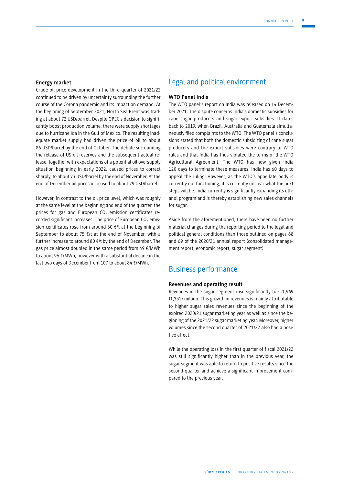#### **Energy market**

Crude oil price development in the third quarter of 2021/22 continued to be driven by uncertainty surrounding the further course of the Corona pandemic and its impact on demand. At the beginning of September 2021, North Sea Brent was trading at about 72 USD/barrel. Despite OPEC's decision to significantly boost production volume, there were supply shortages due to hurricane Ida in the Gulf of Mexico. The resulting inadequate market supply had driven the price of oil to about 86 USD/barrel by the end of October. The debate surrounding the release of US oil reserves and the subsequent actual release, together with expectations of a potential oil oversupply situation beginning in early 2022, caused prices to correct sharply, to about 73 USD/barrel by the end of November. At the end of December oil prices increased to about 79 USD/barrel.

However, in contrast to the oil price level, which was roughly at the same level at the beginning and end of the quarter, the prices for gas and European  $CO<sub>2</sub>$  emission certificates recorded significant increases. The price of European  $CO<sub>2</sub>$  emission certificates rose from around 60 €/t at the beginning of September to about 75  $f/t$  at the end of November, with a further increase to around 80 €/t by the end of December. The gas price almost doubled in the same period from 49 €/MWh to about 96 €/MWh, however with a substantial decline in the last two days of December from 107 to about 84 €/MWh.

## Legal and political environment

#### **WTO Panel India**

The WTO panel's report on India was released on 14 December 2021. The dispute concerns India's domestic subsidies for cane sugar producers and sugar export subsidies. It dates back to 2019, when Brazil, Australia and Guatemala simultaneously filed complaints to the WTO. The WTO panel's conclusions stated that both the domestic subsidizing of cane sugar producers and the export subsidies were contrary to WTO rules and that India has thus violated the terms of the WTO Agricultural Agreement. The WTO has now given India 120 days to terminate these measures. India has 60 days to appeal the ruling. However, as the WTO's appellate body is currently not functioning, it is currently unclear what the next steps will be. India currently is significantly expanding its ethanol program and is thereby establishing new sales channels for sugar.

Aside from the aforementioned, there have been no further material changes during the reporting period to the legal and political general conditions than those outlined on pages 68 and 69 of the 2020/21 annual report (consolidated management report, economic report, sugar segment).

# Business performance

#### **Revenues and operating result**

Revenues in the sugar segment rose significantly to  $\epsilon$  1,969 (1,731) million. This growth in revenues is mainly attributable to higher sugar sales revenues since the beginning of the expired 2020/21 sugar marketing year as well as since the beginning of the 2021/22 sugar marketing year. Moreover, higher volumes since the second quarter of 2021/22 also had a positive effect.

While the operating loss in the first quarter of fiscal 2021/22 was still significantly higher than in the previous year, the sugar segment was able to return to positive results since the second quarter and achieve a significant improvement compared to the previous year.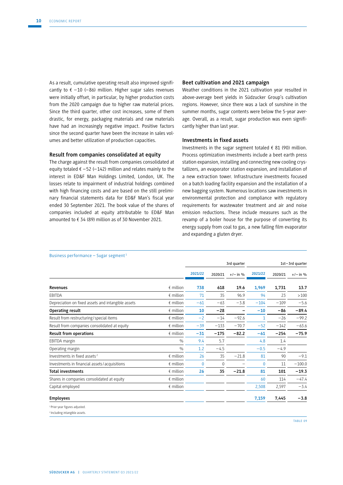As a result, cumulative operating result also improved significantly to  $\xi$  -10 (-86) million. Higher sugar sales revenues were initially offset, in particular, by higher production costs from the 2020 campaign due to higher raw material prices. Since the third quarter, other cost increases, some of them drastic, for energy, packaging materials and raw materials have had an increasingly negative impact. Positive factors since the second quarter have been the increase in sales volumes and better utilization of production capacities.

#### **Result from companies consolidated at equity**

The charge against the result from companies consolidated at equity totaled  $\epsilon$  –52 (–142) million and relates mainly to the interest in ED&F Man Holdings Limited, London, UK. The losses relate to impairment of industrial holdings combined with high financing costs and are based on the still preliminary financial statements data for ED&F Man's fiscal year ended 30 September 2021. The book value of the shares of companies included at equity attributable to ED&F Man amounted to € 34 (89) million as of 30 November 2021.

#### **Beet cultivation and 2021 campaign**

Weather conditions in the 2021 cultivation year resulted in above-average beet yields in Südzucker Group's cultivation regions. However, since there was a lack of sunshine in the summer months, sugar contents were below the 5-year average. Overall, as a result, sugar production was even significantly higher than last year.

#### **Investments in fixed assets**

Investments in the sugar segment totaled  $\epsilon$  81 (90) million. Process optimization investments include a beet earth press station expansion, installing and connecting new cooling crystallizers, an evaporator station expansion, and installation of a new extraction tower. Infrastructure investments focused on a batch loading facility expansion and the installation of a new bagging system. Numerous locations saw investments in environmental protection and compliance with regulatory requirements for wastewater treatment and air and noise emission reductions. These include measures such as the revamp of a boiler house for the purpose of converting its energy supply from coal to gas, a new falling film evaporator and expanding a gluten dryer.

|                                                    |                    | 3rd quarter |              |            |         | 1st-3rd quarter |            |
|----------------------------------------------------|--------------------|-------------|--------------|------------|---------|-----------------|------------|
|                                                    |                    | 2021/22     | 2020/21      | $+/-$ in % | 2021/22 | 2020/21         | $+/-$ in % |
| <b>Revenues</b>                                    | $\epsilon$ million | 738         | 618          | 19.6       | 1,969   | 1,731           | 13.7       |
| EBITDA                                             | $\n  inillion\n$   | 71          | 35           | 96.9       | 94      | 23              | >100       |
| Depreciation on fixed assets and intangible assets | $\epsilon$ million | $-61$       | $-63$        | $-3.8$     | $-104$  | $-109$          | $-5.6$     |
| Operating result                                   | $\epsilon$ million | 10          | $-28$        |            | $-10$   | $-86$           | $-89.4$    |
| Result from restructuring / special items          | $\epsilon$ million | $-2$        | $-14$        | $-92.6$    | 1       | $-26$           | $-99.2$    |
| Result from companies consolidated at equity       | $\n  inillion\n$   | $-39$       | $-133$       | $-70.7$    | $-52$   | $-142$          | $-63.6$    |
| <b>Result from operations</b>                      | $\notin$ million   | $-31$       | $-175$       | $-82.2$    | $-61$   | $-254$          | $-75.9$    |
| EBITDA margin                                      | $\frac{0}{0}$      | 9.4         | 5.7          |            | 4.8     | 1.4             |            |
| Operating margin                                   | $\frac{0}{0}$      | 1.2         | $-4.5$       |            | $-0.5$  | $-4.9$          |            |
| Investments in fixed assets <sup>2</sup>           | $\epsilon$ million | 26          | 35           | $-21.8$    | 81      | 90              | $-9.1$     |
| Investments in financial assets / acquisitions     | $\epsilon$ million | 0           | $\mathbf{0}$ |            | 0       | 11              | $-100.0$   |
| <b>Total investments</b>                           | $\n  inillion\n$   | 26          | 35           | $-21.8$    | 81      | 101             | $-19.3$    |
| Shares in companies consolidated at equity         | $\n  inillion\n$   |             |              |            | 60      | 114             | $-47.4$    |
| Capital employed                                   | $\epsilon$ million |             |              |            | 2,508   | 2,597           | $-3.4$     |
| <b>Employees</b>                                   |                    |             |              |            | 7,159   | 7,445           | $-3.8$     |
| <sup>1</sup> Prior-year figures adjusted.          |                    |             |              |            |         |                 |            |
| <sup>2</sup> Including intangible assets.          |                    |             |              |            |         |                 |            |

Business performance – Sugar segment<sup>1</sup>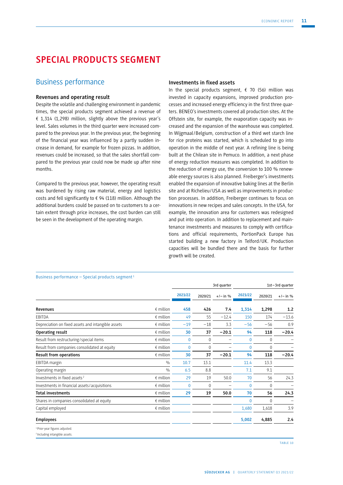# **SPECIAL PRODUCTS SEGMENT**

# Business performance

### **Revenues and operating result**

Despite the volatile and challenging environment in pandemic times, the special products segment achieved a revenue of  $£ 1,314 (1,298)$  million, slightly above the previous year's level. Sales volumes in the third quarter were increased compared to the previous year. In the previous year, the beginning of the financial year was influenced by a partly sudden increase in demand, for example for frozen pizzas. In addition, revenues could be increased, so that the sales shortfall compared to the previous year could now be made up after nine months.

Compared to the previous year, however, the operating result was burdened by rising raw material, energy and logistics costs and fell significantly to € 94 (118) million. Although the additional burdens could be passed on to customers to a certain extent through price increases, the cost burden can still be seen in the development of the operating margin.

#### **Investments in fixed assets**

In the special products segment,  $\epsilon$  70 (56) million was invested in capacity expansions, improved production processes and increased energy efficiency in the first three quarters. BENEO's investments covered all production sites. At the Offstein site, for example, the evaporation capacity was increased and the expansion of the warehouse was completed. In Wijgmaal /Belgium, construction of a third wet starch line for rice proteins was started, which is scheduled to go into operation in the middle of next year. A refining line is being built at the Chilean site in Pemuco. In addition, a next phase of energy reduction measures was completed. In addition to the reduction of energy use, the conversion to 100 % renewable energy sources is also planned. Freiberger's investments enabled the expansion of innovative baking lines at the Berlin site and at Richelieu/USA as well as improvements in production processes. In addition, Freiberger continues to focus on innovations in new recipes and sales concepts. In the USA, for example, the innovation area for customers was redesigned and put into operation. In addition to replacement and maintenance investments and measures to comply with certifications and official requirements, PortionPack Europe has started building a new factory in Telford/UK. Production capacities will be bundled there and the basis for further growth will be created.

|                                                                                        |                    | 3rd quarter  |             |            |              |              | 1st-3rd quarter          |
|----------------------------------------------------------------------------------------|--------------------|--------------|-------------|------------|--------------|--------------|--------------------------|
|                                                                                        |                    | 2021/22      | 2020/21     | $+/-$ in % | 2021/22      | 2020/21      | $+/-$ in %               |
| <b>Revenues</b>                                                                        | $\epsilon$ million | 458          | 426         | 7.4        | 1,314        | 1,298        | 1.2                      |
| EBITDA                                                                                 | $\n  emillion\n$   | 49           | 55          | $-12.4$    | 150          | 174          | $-13.6$                  |
| Depreciation on fixed assets and intangible assets                                     | $\n  emillion\n$   | $-19$        | $-18$       | 3.3        | $-56$        | $-56$        | 0.9                      |
| Operating result                                                                       | $\n  emillion\n$   | 30           | 37          | $-20.1$    | 94           | 118          | $-20.4$                  |
| Result from restructuring / special items                                              | $\n  emillion\n$   | $\mathbf{0}$ | $\mathbf 0$ |            | $\mathbf{0}$ | $\mathbf{0}$ |                          |
| Result from companies consolidated at equity                                           | $\epsilon$ million | $\mathbf{0}$ | $\Omega$    |            | $\mathbf{0}$ | $\Omega$     | $\overline{\phantom{0}}$ |
| <b>Result from operations</b>                                                          | $\n  emillion\n$   | 30           | 37          | $-20.1$    | 94           | 118          | $-20.4$                  |
| EBITDA margin                                                                          | $\frac{0}{0}$      | 10.7         | 13.1        |            | 11.4         | 13.3         |                          |
| Operating margin                                                                       | $\frac{0}{0}$      | 6.5          | 8.8         |            | 7.1          | 9.1          |                          |
| Investments in fixed assets <sup>2</sup>                                               | $\epsilon$ million | 29           | 19          | 50.0       | 70           | 56           | 24.3                     |
| Investments in financial assets / acquisitions                                         | $\epsilon$ million | $\Omega$     | $\Omega$    | -          | $\Omega$     | $\Omega$     | $\overline{\phantom{0}}$ |
| <b>Total investments</b>                                                               | $\epsilon$ million | 29           | 19          | 50.0       | 70           | 56           | 24.3                     |
| Shares in companies consolidated at equity                                             | $\n  emillion\n$   |              |             |            | $\mathbf{0}$ | $\mathbf{0}$ | -                        |
| Capital employed                                                                       | $\n  emillion\n$   |              |             |            | 1,680        | 1,618        | 3.9                      |
| <b>Employees</b>                                                                       |                    |              |             |            | 5,002        | 4,885        | 2.4                      |
| <sup>1</sup> Prior-year figures adjusted.<br><sup>2</sup> Including intangible assets. |                    |              |             |            |              |              |                          |

#### Business performance – Special products segment<sup>1</sup>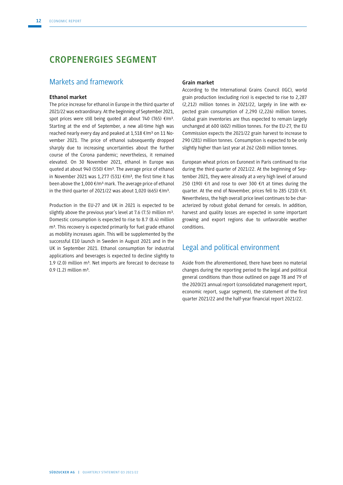# **CROPENERGIES SEGMENT**

# Markets and framework

#### **Ethanol market**

The price increase for ethanol in Europe in the third quarter of 2021/22 was extraordinary. At the beginning of September 2021, spot prices were still being quoted at about 740 (765)  $\epsilon/m^3$ . Starting at the end of September, a new all-time high was reached nearly every day and peaked at 1,518 €/m<sup>3</sup> on 11 November 2021. The price of ethanol subsequently dropped sharply due to increasing uncertainties about the further course of the Corona pandemic; nevertheless, it remained elevated. On 30 November 2021, ethanol in Europe was quoted at about 940 (550) €/m<sup>3</sup>. The average price of ethanol in November 2021 was 1,277 (531) €/m<sup>3</sup>, the first time it has been above the 1,000  $\epsilon$ /m<sup>3</sup> mark. The average price of ethanol in the third quarter of 2021/22 was about 1,020 (665)  $\epsilon/m^3$ .

Production in the EU-27 and UK in 2021 is expected to be slightly above the previous year's level at 7.6 (7.5) million  $m^3$ . Domestic consumption is expected to rise to 8.7 (8.4) million m<sup>3</sup>. This recovery is expected primarily for fuel grade ethanol as mobility increases again. This will be supplemented by the successful E10 launch in Sweden in August 2021 and in the UK in September 2021. Ethanol consumption for industrial applications and beverages is expected to decline slightly to 1.9 (2.0) million  $m^3$ . Net imports are forecast to decrease to  $0.9$  (1.2) million m<sup>3</sup>.

#### **Grain market**

According to the International Grains Council (IGC), world grain production (excluding rice) is expected to rise to 2,287 (2,212) million tonnes in 2021/22, largely in line with expected grain consumption of 2,290 (2,226) million tonnes. Global grain inventories are thus expected to remain largely unchanged at 600 (602) million tonnes. For the EU-27, the EU Commission expects the 2021/22 grain harvest to increase to 290 (281) million tonnes. Consumption is expected to be only slightly higher than last year at 262 (260) million tonnes.

European wheat prices on Euronext in Paris continued to rise during the third quarter of 2021/22. At the beginning of September 2021, they were already at a very high level of around 250 (190) €/t and rose to over 300 €/t at times during the quarter. At the end of November, prices fell to 285 (210) €/t. Nevertheless, the high overall price level continues to be characterized by robust global demand for cereals. In addition, harvest and quality losses are expected in some important growing and export regions due to unfavorable weather conditions.

# Legal and political environment

Aside from the aforementioned, there have been no material changes during the reporting period to the legal and political general conditions than those outlined on page 78 and 79 of the 2020/21 annual report (consolidated management report, economic report, sugar segment), the statement of the first quarter 2021/22 and the half-year financial report 2021/22.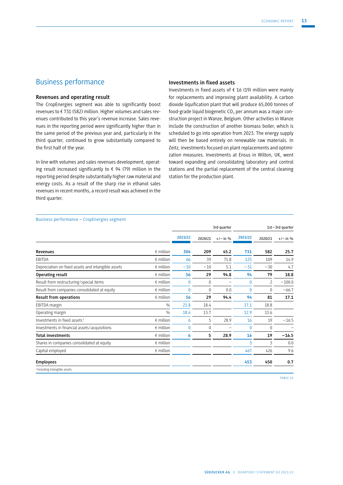# Business performance

#### **Revenues and operating result**

The CropEnergies segment was able to significantly boost revenues to € 731 (582) million. Higher volumes and sales revenues contributed to this year's revenue increase. Sales revenues in the reporting period were significantly higher than in the same period of the previous year and, particularly in the third quarter, continued to grow substantially compared to the first half of the year.

In line with volumes and sales revenues development, operating result increased significantly to  $\epsilon$  94 (79) million in the reporting period despite substantially higher raw material and energy costs. As a result of the sharp rise in ethanol sales revenues in recent months, a record result was achieved in the third quarter.

#### **Investments in fixed assets**

Investments in fixed assets of  $f$  16 (19) million were mainly for replacements and improving plant availability. A carbon dioxide liquification plant that will produce 65,000 tonnes of food-grade liquid biogenetic  $CO<sub>2</sub>$  per annum was a major construction project in Wanze, Belgium. Other activities in Wanze include the construction of another biomass boiler, which is scheduled to go into operation from 2023. The energy supply will then be based entirely on renewable raw materials. In Zeitz, investments focused on plant replacements and optimization measures. Investments at Ensus in Wilton, UK, went toward expanding and consolidating laboratory and control stations and the partial replacement of the central cleaning station for the production plant.

| Business performance – CropEnergies segment |  |  |
|---------------------------------------------|--|--|
|---------------------------------------------|--|--|

| ------------                                       |                    | 3rd quarter  |          |            | 1st-3rd quarter |                          |            |
|----------------------------------------------------|--------------------|--------------|----------|------------|-----------------|--------------------------|------------|
|                                                    |                    | 2021/22      | 2020/21  | $+/-$ in % | 2021/22         | 2020/21                  | $+/-$ in % |
| <b>Revenues</b>                                    | $\epsilon$ million | 304          | 209      | 45.2       | 731             | 582                      | 25.7       |
| EBITDA                                             | $\epsilon$ million | 66           | 39       | 71.8       | 125             | 109                      | 14.9       |
| Depreciation on fixed assets and intangible assets | $\epsilon$ million | $-10$        | $-10$    | 5.1        | $-31$           | $-30$                    | 4.7        |
| Operating result                                   | $f$ million        | 56           | 29       | 94.8       | 94              | 79                       | 18.8       |
| Result from restructuring / special items          | $\epsilon$ million | $\Omega$     | $\Omega$ |            | $\Omega$        | $\overline{\phantom{0}}$ | $-100.0$   |
| Result from companies consolidated at equity       | $\epsilon$ million | $\mathbf{0}$ | $\Omega$ | 0.0        | $\mathbf{0}$    | 0                        | $-66.7$    |
| <b>Result from operations</b>                      | $f$ million        | 56           | 29       | 94.4       | 94              | 81                       | 17.1       |
| EBITDA margin                                      | $\frac{0}{0}$      | 21.8         | 18.4     |            | 17.1            | 18.8                     |            |
| Operating margin                                   | $\frac{0}{0}$      | 18.4         | 13.7     |            | 12.9            | 13.6                     |            |
| Investments in fixed assets <sup>1</sup>           | $f$ million        | 6            | 5        | 28.9       | 16              | 19                       | $-16.5$    |
| Investments in financial assets / acquisitions     | $\epsilon$ million | $\mathbf{0}$ | 0        |            | $\Omega$        | $\mathbf{0}$             |            |
| <b>Total investments</b>                           | $\epsilon$ million | 6            | 5        | 28.9       | 16              | 19                       | $-16.5$    |
| Shares in companies consolidated at equity         | $\epsilon$ million |              |          |            | 3               | 3                        | 0.0        |
| Capital employed                                   | $f$ million        |              |          |            | 467             | 426                      | 9.6        |
| <b>Employees</b>                                   |                    |              |          |            | 453             | 450                      | 0.7        |
| <sup>1</sup> Including intangible assets.          |                    |              |          |            |                 |                          |            |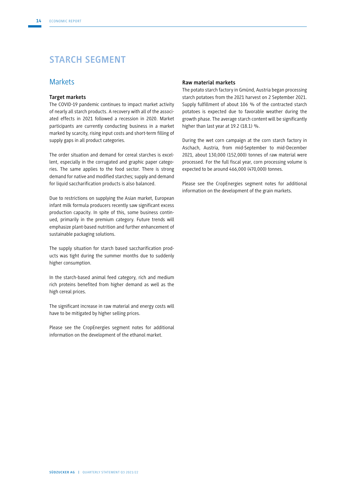# **STARCH SEGMENT**

## **Markets**

#### **Target markets**

The COVID-19 pandemic continues to impact market activity of nearly all starch products. A recovery with all of the associated effects in 2021 followed a recession in 2020. Market participants are currently conducting business in a market marked by scarcity, rising input costs and short-term filling of supply gaps in all product categories.

The order situation and demand for cereal starches is excellent, especially in the corrugated and graphic paper categories. The same applies to the food sector. There is strong demand for native and modified starches; supply and demand for liquid saccharification products is also balanced.

Due to restrictions on supplying the Asian market, European infant milk formula producers recently saw significant excess production capacity. In spite of this, some business continued, primarily in the premium category. Future trends will emphasize plant-based nutrition and further enhancement of sustainable packaging solutions.

The supply situation for starch based saccharification products was tight during the summer months due to suddenly higher consumption.

In the starch-based animal feed category, rich and medium rich proteins benefited from higher demand as well as the high cereal prices.

The significant increase in raw material and energy costs will have to be mitigated by higher selling prices.

Please see the CropEnergies segment notes for additional information on the development of the ethanol market.

#### **Raw material markets**

The potato starch factory in Gmünd, Austria began processing starch potatoes from the 2021 harvest on 2 September 2021. Supply fulfillment of about 106 % of the contracted starch potatoes is expected due to favorable weather during the growth phase. The average starch content will be significantly higher than last year at 19.2 (18.1) %.

During the wet corn campaign at the corn starch factory in Aschach, Austria, from mid-September to mid-December 2021, about 130,000 (152,000) tonnes of raw material were processed. For the full fiscal year, corn processing volume is expected to be around 466,000 (470,000) tonnes.

Please see the CropEnergies segment notes for additional information on the development of the grain markets.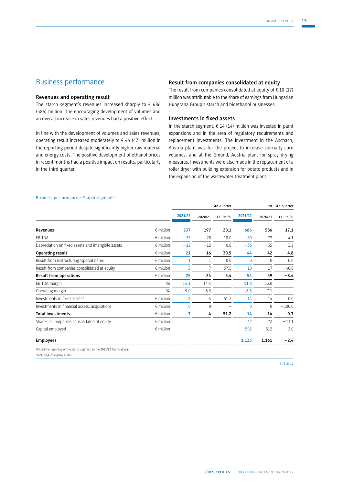# Business performance

### **Revenues and operating result**

The starch segment's revenues increased sharply to  $\epsilon$  686 (586) million. The encouraging development of volumes and an overall increase in sales revenues had a positive effect.

In line with the development of volumes and sales revenues, operating result increased moderately to  $\epsilon$  44 (42) million in the reporting period despite significantly higher raw material and energy costs. The positive development of ethanol prices in recent months had a positive impact on results, particularly in the third quarter.

#### **Result from companies consolidated at equity**

The result from companies consolidated at equity of  $\epsilon$  10 (17) million was attributable to the share of earnings from Hungarian Hungrana Group's starch and bioethanol businesses.

#### **Investments in fixed assets**

In the starch segment,  $\epsilon$  14 (14) million was invested in plant expansions and in the area of regulatory requirements and replacement investments. The investment in the Aschach, Austria plant was for the project to increase specialty corn volumes, and at the Gmünd, Austria plant for spray drying measures. Investments were also made in the replacement of a roller dryer with building extension for potato products and in the expansion of the wastewater treatment plant.

#### Business performance – Starch segment <sup>1</sup>

|                                                                                        |                    | 3rd quarter |          |            | 1st-3rd quarter |          |            |
|----------------------------------------------------------------------------------------|--------------------|-------------|----------|------------|-----------------|----------|------------|
|                                                                                        |                    | 2021/22     | 2020/21  | $+/-$ in % | 2021/22         | 2020/21  | $+/-$ in % |
| <b>Revenues</b>                                                                        | $\epsilon$ million | 237         | 197      | 20.1       | 686             | 586      | 17.1       |
| EBITDA                                                                                 | $\epsilon$ million | 33          | 28       | 18.0       | 80              | 77       | 4.1        |
| Depreciation on fixed assets and intangible assets                                     | $f$ million        | $-12$       | $-12$    | 0.8        | $-36$           | $-35$    | 3.2        |
| Operating result                                                                       | $f$ million        | 21          | 16       | 30.5       | 44              | 42       | 4.8        |
| Result from restructuring / special items                                              | $f$ million        | 1           | 1        | 0.0        | $\mathbf 0$     | 0        | 0.0        |
| Result from companies consolidated at equity                                           | $f$ million        | 3           | 7        | $-57.5$    | 10              | 17       | $-40.8$    |
| <b>Result from operations</b>                                                          | $f$ million        | 25          | 24       | 3.4        | 54              | 59       | $-8.4$     |
| EBITDA margin                                                                          | $\frac{0}{0}$      | 14.1        | 14.4     |            | 11.6            | 13.0     |            |
| Operating margin                                                                       | $\frac{0}{0}$      | 9.0         | 8.3      |            | 6.3             | 7.1      |            |
| Investments in fixed assets <sup>2</sup>                                               | $\epsilon$ million | 7           | 4        | 51.2       | 14              | 14       | 0.0        |
| Investments in financial assets / acquisitions                                         | $\epsilon$ million | $\Omega$    | $\Omega$ | -          | $\Omega$        | $\Omega$ | $-100.0$   |
| <b>Total investments</b>                                                               | $f$ million        | 7           | 4        | 51.2       | 14              | 14       | 0.7        |
| Shares in companies consolidated at equity                                             | $\epsilon$ million |             |          |            | 62              | 72       | $-13.1$    |
| Capital employed                                                                       | $\epsilon$ million |             |          |            | 502             | 512      | $-2.0$     |
| <b>Employees</b>                                                                       |                    |             |          |            | 1,133           | 1,161    | $-2.4$     |
| <sup>1</sup> First-time reporting of the starch segment in the 2021/22 financial year. |                    |             |          |            |                 |          |            |

2 Including intangible assets.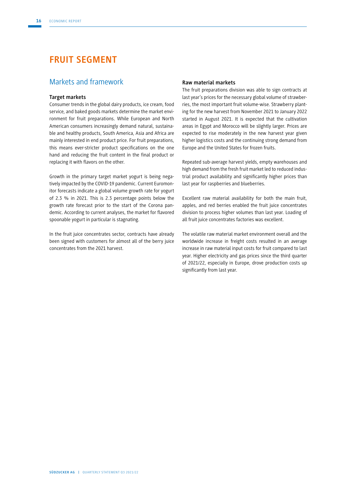# **FRUIT SEGMENT**

## Markets and framework

#### **Target markets**

Consumer trends in the global dairy products, ice cream, food service, and baked goods markets determine the market environment for fruit preparations. While European and North American consumers increasingly demand natural, sustainable and healthy products, South America, Asia and Africa are mainly interested in end product price. For fruit preparations, this means ever-stricter product specifications on the one hand and reducing the fruit content in the final product or replacing it with flavors on the other.

Growth in the primary target market yogurt is being negatively impacted by the COVID-19 pandemic. Current Euromonitor forecasts indicate a global volume growth rate for yogurt of 2.3 % in 2021. This is 2.3 percentage points below the growth rate forecast prior to the start of the Corona pandemic. According to current analyses, the market for flavored spoonable yogurt in particular is stagnating.

In the fruit juice concentrates sector, contracts have already been signed with customers for almost all of the berry juice concentrates from the 2021 harvest.

#### **Raw material markets**

The fruit preparations division was able to sign contracts at last year's prices for the necessary global volume of strawberries, the most important fruit volume-wise. Strawberry planting for the new harvest from November 2021 to January 2022 started in August 2021. It is expected that the cultivation areas in Egypt and Morocco will be slightly larger. Prices are expected to rise moderately in the new harvest year given higher logistics costs and the continuing strong demand from Europe and the United States for frozen fruits.

Repeated sub-average harvest yields, empty warehouses and high demand from the fresh fruit market led to reduced industrial product availability and significantly higher prices than last year for raspberries and blueberries.

Excellent raw material availability for both the main fruit, apples, and red berries enabled the fruit juice concentrates division to process higher volumes than last year. Loading of all fruit juice concentrates factories was excellent.

The volatile raw material market environment overall and the worldwide increase in freight costs resulted in an average increase in raw material input costs for fruit compared to last year. Higher electricity and gas prices since the third quarter of 2021/22, especially in Europe, drove production costs up significantly from last year.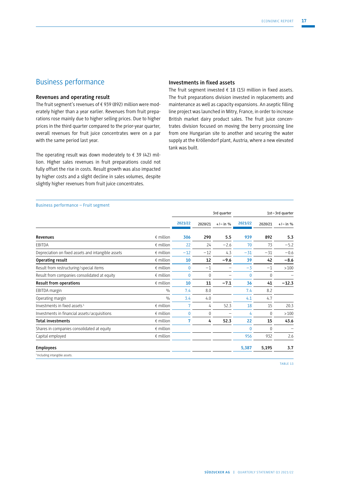# Business performance

#### **Revenues and operating result**

The fruit segment's revenues of € 939 (892) million were moderately higher than a year earlier. Revenues from fruit preparations rose mainly due to higher selling prices. Due to higher prices in the third quarter compared to the prior-year quarter, overall revenues for fruit juice concentrates were on a par with the same period last year.

The operating result was down moderately to  $\epsilon$  39 (42) million. Higher sales revenues in fruit preparations could not fully offset the rise in costs. Result growth was also impacted by higher costs and a slight decline in sales volumes, despite slightly higher revenues from fruit juice concentrates.

#### **Investments in fixed assets**

The fruit segment invested  $\epsilon$  18 (15) million in fixed assets. The fruit preparations division invested in replacements and maintenance as well as capacity expansions. An aseptic filling line project was launched in Mitry, France, in order to increase British market dairy product sales. The fruit juice concentrates division focused on moving the berry processing line from one Hungarian site to another and securing the water supply at the Kröllendorf plant, Austria, where a new elevated tank was built.

#### Business performance – Fruit segment

|                                                    |                    | 3rd quarter    |          |            | 1st-3rd quarter |              |            |
|----------------------------------------------------|--------------------|----------------|----------|------------|-----------------|--------------|------------|
|                                                    |                    | 2021/22        | 2020/21  | $+/-$ in % | 2021/22         | 2020/21      | $+/-$ in % |
| <b>Revenues</b>                                    | $\epsilon$ million | 306            | 290      | 5.5        | 939             | 892          | 5.3        |
| EBITDA                                             | $\epsilon$ million | 22             | 24       | $-2.6$     | 70              | 73           | $-5.2$     |
| Depreciation on fixed assets and intangible assets | $\epsilon$ million | $-12$          | $-12$    | 4.3        | $-31$           | $-31$        | $-0.6$     |
| Operating result                                   | $\epsilon$ million | 10             | 12       | $-9.6$     | 39              | 42           | $-8.6$     |
| Result from restructuring / special items          | $\epsilon$ million | $\Omega$       | $-1$     |            | $-3$            | $-1$         | >100       |
| Result from companies consolidated at equity       | $\epsilon$ million | $\mathbf{0}$   | $\Omega$ |            | $\mathbf{0}$    | $\mathbf{0}$ |            |
| Result from operations                             | $\epsilon$ million | 10             | 11       | $-7.1$     | 36              | 41           | $-12.3$    |
| EBITDA margin                                      | 0/0                | 7.4            | 8.0      |            | 7.4             | 8.2          |            |
| Operating margin                                   | $\frac{0}{0}$      | 3.4            | 4.0      |            | 4.1             | 4.7          |            |
| Investments in fixed assets <sup>1</sup>           | $\epsilon$ million | 7              | 4        | 52.3       | 18              | 15           | 20.3       |
| Investments in financial assets / acquisitions     | $f$ million        | $\mathbf{0}$   | $\Omega$ | -          | 4               | $\mathbf{0}$ | >100       |
| <b>Total investments</b>                           | $\epsilon$ million | $\overline{7}$ | 4        | 52.3       | 22              | 15           | 43.6       |
| Shares in companies consolidated at equity         | $\epsilon$ million |                |          |            | $\Omega$        | $\mathbf{0}$ | -          |
| Capital employed                                   | $\epsilon$ million |                |          |            | 956             | 932          | 2.6        |
| <b>Employees</b>                                   |                    |                |          |            | 5,387           | 5,195        | 3.7        |
| <sup>1</sup> Including intangible assets.          |                    |                |          |            |                 |              |            |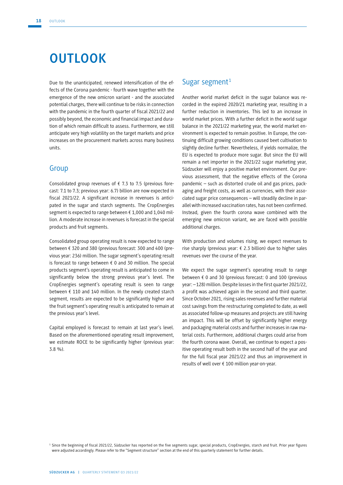# **OUTLOOK**

Due to the unanticipated, renewed intensification of the effects of the Corona pandemic - fourth wave together with the emergence of the new omicron variant - and the associated potential charges, there will continue to be risks in connection with the pandemic in the fourth quarter of fiscal 2021/22 and possibly beyond, the economic and financial impact and duration of which remain difficult to assess. Furthermore, we still anticipate very high volatility on the target markets and price increases on the procurement markets across many business units.

# Group

Consolidated group revenues of  $\epsilon$  7.3 to 7.5 (previous forecast: 7.1 to 7.3; previous year: 6.7) billion are now expected in fiscal 2021/22. A significant increase in revenues is anticipated in the sugar and starch segments. The CropEnergies segment is expected to range between € 1,000 and 1,040 million. A moderate increase in revenues is forecast in the special products and fruit segments.

Consolidated group operating result is now expected to range between € 320 and 380 (previous forecast: 300 and 400 (previous year: 236) million. The sugar segment's operating result is forecast to range between  $\epsilon$  0 and 30 million. The special products segment's operating result is anticipated to come in significantly below the strong previous year's level. The CropEnergies segment's operating result is seen to range between € 110 and 140 million. In the newly created starch segment, results are expected to be significantly higher and the fruit segment's operating result is anticipated to remain at the previous year's level.

Capital employed is forecast to remain at last year's level. Based on the aforementioned operating result improvement, we estimate ROCE to be significantly higher (previous year: 3.8 %).

## Sugar segment<sup>1</sup>

Another world market deficit in the sugar balance was recorded in the expired 2020/21 marketing year, resulting in a further reduction in inventories. This led to an increase in world market prices. With a further deficit in the world sugar balance in the 2021/22 marketing year, the world market environment is expected to remain positive. In Europe, the continuing difficult growing conditions caused beet cultivation to slightly decline further. Nevertheless, if yields normalize, the EU is expected to produce more sugar. But since the EU will remain a net importer in the 2021/22 sugar marketing year, Südzucker will enjoy a positive market environment. Our previous assessment, that the negative effects of the Corona pandemic – such as distorted crude oil and gas prices, packaging and freight costs, as well as currencies, with their associated sugar price consequences – will steadily decline in parallel with increased vaccination rates, has not been confirmed. Instead, given the fourth corona wave combined with the emerging new omicron variant, we are faced with possible additional charges.

With production and volumes rising, we expect revenues to rise sharply (previous year: € 2.3 billion) due to higher sales revenues over the course of the year.

We expect the sugar segment's operating result to range between € 0 and 30 (previous forecast: 0 and 100 (previous year: – 128) million. Despite losses in the first quarter 2021/22, a profit was achieved again in the second and third quarter. Since October 2021, rising sales revenues and further material cost savings from the restructuring completed to date, as well as associated follow-up measures and projects are still having an impact. This will be offset by significantly higher energy and packaging material costs and further increases in raw material costs. Furthermore, additional charges could arise from the fourth corona wave. Overall, we continue to expect a positive operating result both in the second half of the year and for the full fiscal year 2021/22 and thus an improvement in results of well over € 100 million year-on-year.

<sup>1</sup> Since the beginning of fiscal 2021/22, Südzucker has reported on the five segments sugar, special products, CropEnergies, starch and fruit. Prior year figures were adjusted accordingly. Please refer to the "Segment structure" section at the end of this quarterly statement for further details.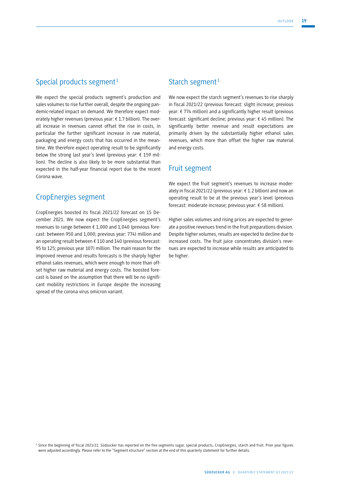# Special products segment<sup>1</sup>

We expect the special products segment's production and sales volumes to rise further overall, despite the ongoing pandemic-related impact on demand. We therefore expect moderately higher revenues (previous year: € 1.7 billion). The overall increase in revenues cannot offset the rise in costs, in particular the further significant increase in raw material, packaging and energy costs that has occurred in the meantime. We therefore expect operating result to be significantly below the strong last year's level (previous year:  $\epsilon$  159 million). The decline is also likely to be more substantial than expected in the half-year financial report due to the recent Corona wave.

# CropEnergies segment

CropEnergies boosted its fiscal 2021/22 forecast on 15 December 2021. We now expect the CropEnergies segment's revenues to range between € 1,000 and 1,040 (previous forecast: between 950 and 1,000; previous year: 774) million and an operating result between € 110 and 140 (previous forecast: 95 to 125; previous year 107) million. The main reason for the improved revenue and results forecasts is the sharply higher ethanol sales revenues, which were enough to more than offset higher raw material and energy costs. The boosted forecast is based on the assumption that there will be no significant mobility restrictions in Europe despite the increasing spread of the corona virus omicron variant.

## Starch segment<sup>1</sup>

We now expect the starch segment's revenues to rise sharply in fiscal 2021/22 (previous forecast: slight increase; previous year: € 774 million) and a significantly higher result (previous forecast: significant decline; previous year: € 45 million). The significantly better revenue and result expectations are primarily driven by the substantially higher ethanol sales revenues, which more than offset the higher raw material and energy costs.

## Fruit segment

We expect the fruit segment's revenues to increase moderately in fiscal 2021/22 (previous year: € 1.2 billion) and now an operating result to be at the previous year's level (previous forecast: moderate increase; previous year: € 58 million).

Higher sales volumes and rising prices are expected to generate a positive revenues trend in the fruit preparations division. Despite higher volumes, results are expected to decline due to increased costs. The fruit juice concentrates division's revenues are expected to increase while results are anticipated to be higher.

<sup>1</sup> Since the beginning of fiscal 2021/22, Südzucker has reported on the five segments sugar, special products, CropEnergies, starch and fruit. Prior year figures were adjusted accordingly. Please refer to the "Segment structure" section at the end of this quarterly statement for further details.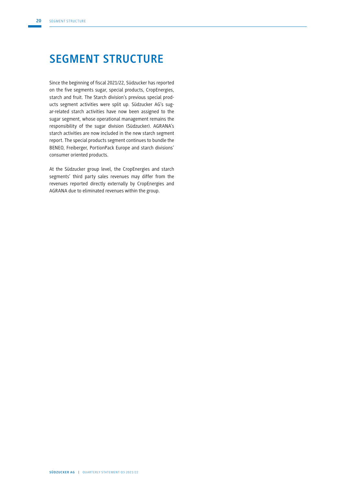# **SEGMENT STRUCTURE**

Since the beginning of fiscal 2021/22, Südzucker has reported on the five segments sugar, special products, CropEnergies, starch and fruit. The Starch division's previous special products segment activities were split up. Südzucker AG's sugar-related starch activities have now been assigned to the sugar segment, whose operational management remains the responsibility of the sugar division (Südzucker). AGRANA's starch activities are now included in the new starch segment report. The special products segment continues to bundle the BENEO, Freiberger, PortionPack Europe and starch divisions' consumer oriented products.

At the Südzucker group level, the CropEnergies and starch segments' third party sales revenues may differ from the revenues reported directly externally by CropEnergies and AGRANA due to eliminated revenues within the group.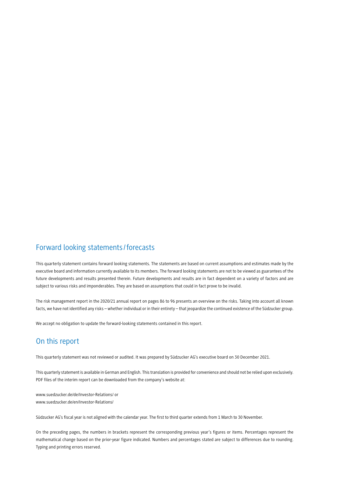# Forward looking statements/forecasts

This quarterly statement contains forward looking statements. The statements are based on current assumptions and estimates made by the executive board and information currently available to its members. The forward looking statements are not to be viewed as guarantees of the future developments and results presented therein. Future developments and results are in fact dependent on a variety of factors and are subject to various risks and imponderables. They are based on assumptions that could in fact prove to be invalid.

The risk management report in the 2020/21 annual report on pages 86 to 96 presents an overview on the risks. Taking into account all known facts, we have not identified any risks – whether individual or in their entirety – that jeopardize the continued existence of the Südzucker group.

We accept no obligation to update the forward-looking statements contained in this report.

# On this report

This quarterly statement was not reviewed or audited. It was prepared by Südzucker AG's executive board on 30 December 2021.

This quarterly statement is available in German and English. This translation is provided for convenience and should not be relied upon exclusively. PDF files of the interim report can be downloaded from the company's website at:

www.suedzucker.de/de/Investor-Relations/ or www.suedzucker.de/en/Investor-Relations/

Südzucker AG's fiscal year is not aligned with the calendar year. The first to third quarter extends from 1 March to 30 November.

On the preceding pages, the numbers in brackets represent the corresponding previous year's figures or items. Percentages represent the mathematical change based on the prior-year figure indicated. Numbers and percentages stated are subject to differences due to rounding. Typing and printing errors reserved.